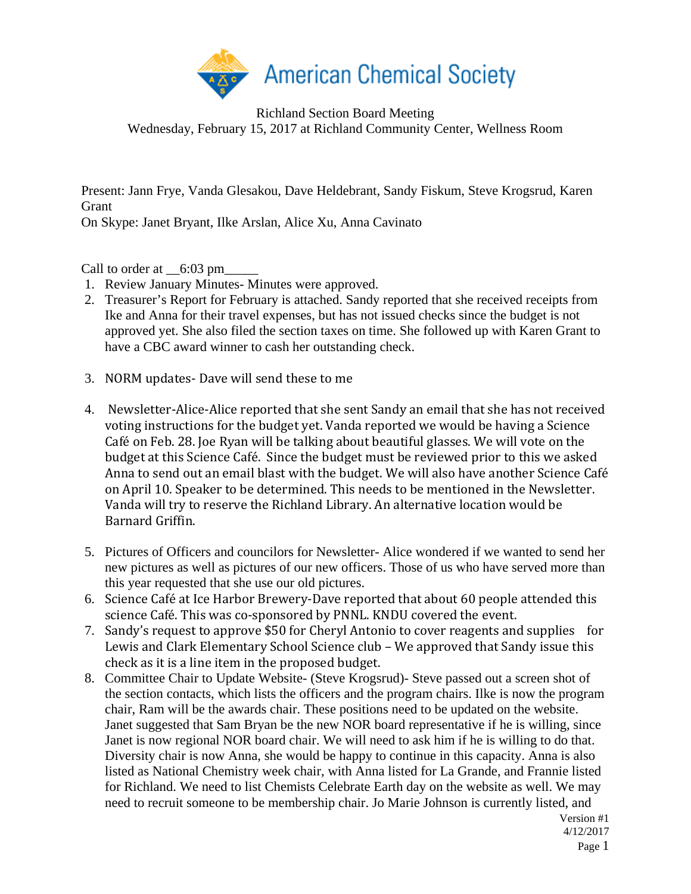

Richland Section Board Meeting Wednesday, February 15, 2017 at Richland Community Center, Wellness Room

Present: Jann Frye, Vanda Glesakou, Dave Heldebrant, Sandy Fiskum, Steve Krogsrud, Karen Grant

On Skype: Janet Bryant, Ilke Arslan, Alice Xu, Anna Cavinato

Call to order at  $\_6:03 \text{ pm}$ 

- 1. Review January Minutes- Minutes were approved.
- 2. Treasurer's Report for February is attached. Sandy reported that she received receipts from Ike and Anna for their travel expenses, but has not issued checks since the budget is not approved yet. She also filed the section taxes on time. She followed up with Karen Grant to have a CBC award winner to cash her outstanding check.
- 3. NORM updates- Dave will send these to me
- 4. Newsletter-Alice-Alice reported that she sent Sandy an email that she has not received voting instructions for the budget yet. Vanda reported we would be having a Science Café on Feb. 28. Joe Ryan will be talking about beautiful glasses. We will vote on the budget at this Science Café. Since the budget must be reviewed prior to this we asked Anna to send out an email blast with the budget. We will also have another Science Café on April 10. Speaker to be determined. This needs to be mentioned in the Newsletter. Vanda will try to reserve the Richland Library. An alternative location would be Barnard Griffin.
- 5. Pictures of Officers and councilors for Newsletter- Alice wondered if we wanted to send her new pictures as well as pictures of our new officers. Those of us who have served more than this year requested that she use our old pictures.
- 6. Science Café at Ice Harbor Brewery-Dave reported that about 60 people attended this science Café. This was co-sponsored by PNNL. KNDU covered the event.
- 7. Sandy's request to approve \$50 for Cheryl Antonio to cover reagents and supplies for Lewis and Clark Elementary School Science club – We approved that Sandy issue this check as it is a line item in the proposed budget.
- 8. Committee Chair to Update Website- (Steve Krogsrud)- Steve passed out a screen shot of the section contacts, which lists the officers and the program chairs. Ilke is now the program chair, Ram will be the awards chair. These positions need to be updated on the website. Janet suggested that Sam Bryan be the new NOR board representative if he is willing, since Janet is now regional NOR board chair. We will need to ask him if he is willing to do that. Diversity chair is now Anna, she would be happy to continue in this capacity. Anna is also listed as National Chemistry week chair, with Anna listed for La Grande, and Frannie listed for Richland. We need to list Chemists Celebrate Earth day on the website as well. We may need to recruit someone to be membership chair. Jo Marie Johnson is currently listed, and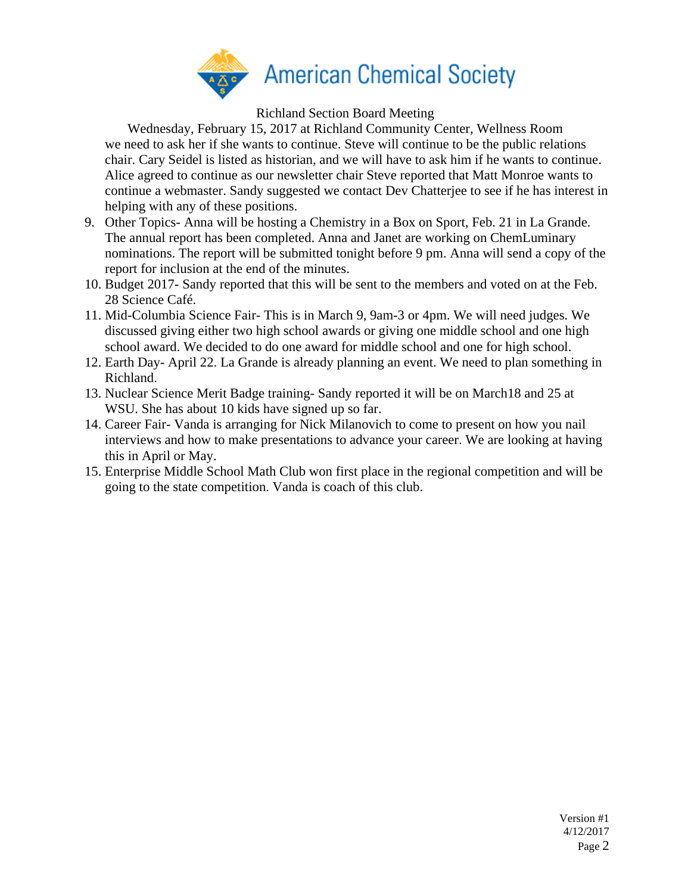

Richland Section Board Meeting

Wednesday, February 15, 2017 at Richland Community Center, Wellness Room we need to ask her if she wants to continue. Steve will continue to be the public relations chair. Cary Seidel is listed as historian, and we will have to ask him if he wants to continue. Alice agreed to continue as our newsletter chair Steve reported that Matt Monroe wants to continue a webmaster. Sandy suggested we contact Dev Chatterjee to see if he has interest in helping with any of these positions.

- 9. Other Topics- Anna will be hosting a Chemistry in a Box on Sport, Feb. 21 in La Grande. The annual report has been completed. Anna and Janet are working on ChemLuminary nominations. The report will be submitted tonight before 9 pm. Anna will send a copy of the report for inclusion at the end of the minutes.
- 10. Budget 2017- Sandy reported that this will be sent to the members and voted on at the Feb. 28 Science Café.
- 11. Mid-Columbia Science Fair- This is in March 9, 9am-3 or 4pm. We will need judges. We discussed giving either two high school awards or giving one middle school and one high school award. We decided to do one award for middle school and one for high school.
- 12. Earth Day- April 22. La Grande is already planning an event. We need to plan something in Richland.
- 13. Nuclear Science Merit Badge training- Sandy reported it will be on March18 and 25 at WSU. She has about 10 kids have signed up so far.
- 14. Career Fair- Vanda is arranging for Nick Milanovich to come to present on how you nail interviews and how to make presentations to advance your career. We are looking at having this in April or May.
- 15. Enterprise Middle School Math Club won first place in the regional competition and will be going to the state competition. Vanda is coach of this club.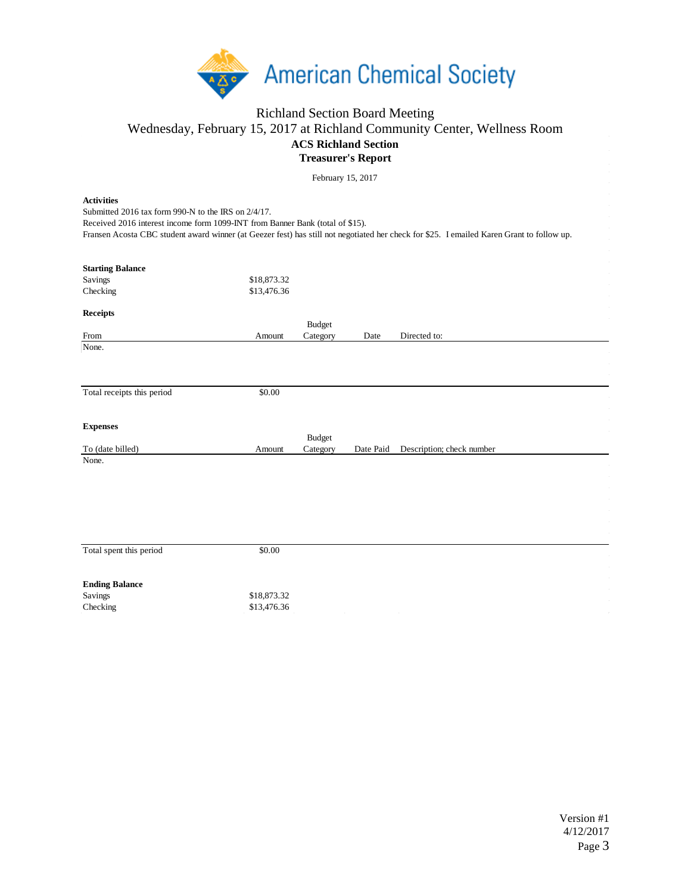

## Richland Section Board Meeting Wednesday, February 15, 2017 at Richland Community Center, Wellness Room **ACS Richland Section Treasurer's Report**

February 15, 2017

**Activities** Fransen Acosta CBC student award winner (at Geezer fest) has still not negotiated her check for \$25. I emailed Karen Grant to follow up. **Starting Balance** Savings \$18,873.32 Checking \$13,476.36 **Receipts** From Amount Budget Category Date Directed to: None. Total receipts this period \$0.00 **Expenses** To (date billed) Amount Budget Category Date Paid Description; check number None. Total spent this period  $$0.00$ **Ending Balance** Savings \$18,873.32 Checking \$13,476.36 Submitted 2016 tax form 990-N to the IRS on 2/4/17. Received 2016 interest income form 1099-INT from Banner Bank (total of \$15).